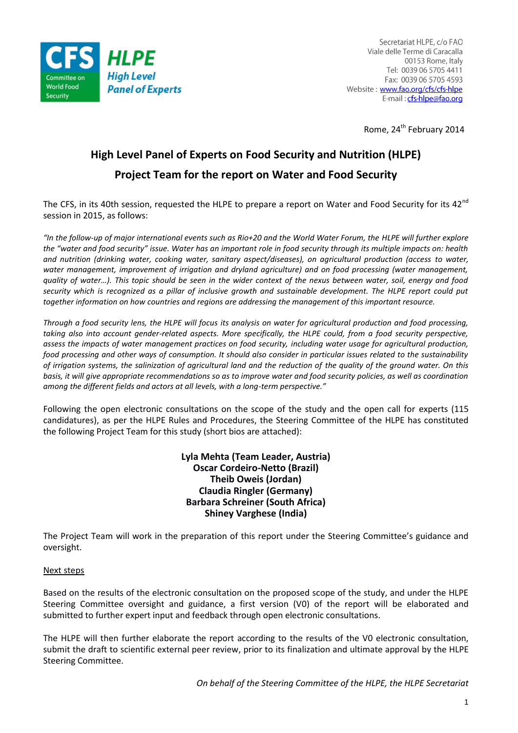

Secretariat HLPE, c/o FAO Viale delle Terme di Caracalla 00153 Rome, Italy Tel: 0039 06 5705 4411 Fax: 0039 06 5705 4593 Website: www.fao.org/cfs/cfs-hlpe E-mail: cfs-hlpe@fao.org

Rome, 24<sup>th</sup> February 2014

# **High Level Panel of Experts on Food Security and Nutrition (HLPE) Project Team for the report on Water and Food Security**

The CFS, in its 40th session, requested the HLPE to prepare a report on Water and Food Security for its 42<sup>nd</sup> session in 2015, as follows:

*"In the follow-up of major international events such as Rio+20 and the World Water Forum, the HLPE will further explore the "water and food security" issue. Water has an important role in food security through its multiple impacts on: health and nutrition (drinking water, cooking water, sanitary aspect/diseases), on agricultural production (access to water,*  water management, improvement of irrigation and dryland agriculture) and on food processing (water management, *quality of water…). This topic should be seen in the wider context of the nexus between water, soil, energy and food*  security which is recognized as a pillar of inclusive growth and sustainable development. The HLPE report could put *together information on how countries and regions are addressing the management of this important resource.*

*Through a food security lens, the HLPE will focus its analysis on water for agricultural production and food processing,*  taking also into account gender-related aspects. More specifically, the HLPE could, from a food security perspective, *assess the impacts of water management practices on food security, including water usage for agricultural production, food processing and other ways of consumption. It should also consider in particular issues related to the sustainability of irrigation systems, the salinization of agricultural land and the reduction of the quality of the ground water. On this basis, it will give appropriate recommendations so as to improve water and food security policies, as well as coordination among the different fields and actors at all levels, with a long-term perspective."*

Following the open electronic consultations on the scope of the study and the open call for experts (115 candidatures), as per the HLPE Rules and Procedures, the Steering Committee of the HLPE has constituted the following Project Team for this study (short bios are attached):

> **Lyla Mehta (Team Leader, Austria) Oscar Cordeiro-Netto (Brazil) Theib Oweis (Jordan) Claudia Ringler (Germany) Barbara Schreiner (South Africa) Shiney Varghese (India)**

The Project Team will work in the preparation of this report under the Steering Committee's guidance and oversight.

# Next steps

Based on the results of the electronic consultation on the proposed scope of the study, and under the HLPE Steering Committee oversight and guidance, a first version (V0) of the report will be elaborated and submitted to further expert input and feedback through open electronic consultations.

The HLPE will then further elaborate the report according to the results of the V0 electronic consultation, submit the draft to scientific external peer review, prior to its finalization and ultimate approval by the HLPE Steering Committee.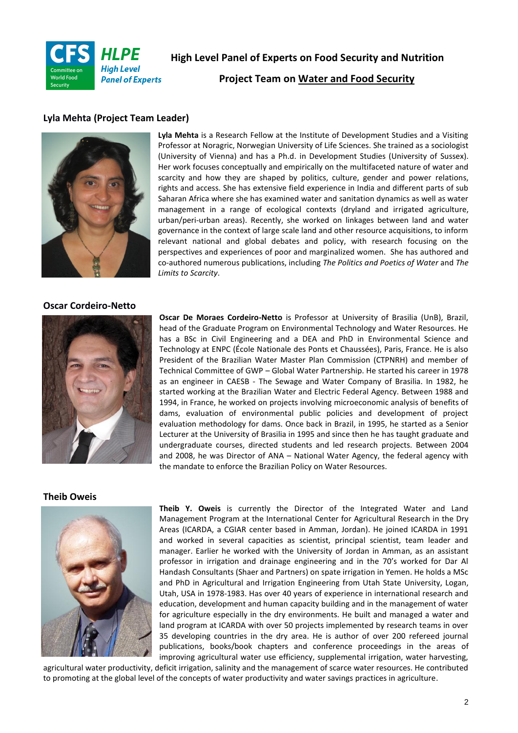

**High Level Panel of Experts on Food Security and Nutrition**

**Project Team on Water and Food Security**

# **Lyla Mehta (Project Team Leader)**



**Lyla Mehta** is a Research Fellow at the Institute of Development Studies and a Visiting Professor at Noragric, Norwegian University of Life Sciences. She trained as a sociologist (University of Vienna) and has a Ph.d. in Development Studies (University of Sussex). Her work focuses conceptually and empirically on the multifaceted nature of water and scarcity and how they are shaped by politics, culture, gender and power relations, rights and access. She has extensive field experience in India and different parts of sub Saharan Africa where she has examined water and sanitation dynamics as well as water management in a range of ecological contexts (dryland and irrigated agriculture, urban/peri-urban areas). Recently, she worked on linkages between land and water governance in the context of large scale land and other resource acquisitions, to inform relevant national and global debates and policy, with research focusing on the perspectives and experiences of poor and marginalized women. She has authored and co-authored numerous publications, including *The Politics and Poetics of Water* and *The Limits to Scarcity*.

### **Oscar Cordeiro-Netto**



**Oscar De Moraes Cordeiro-Netto** is Professor at University of Brasilia (UnB), Brazil, head of the Graduate Program on Environmental Technology and Water Resources. He has a BSc in Civil Engineering and a DEA and PhD in Environmental Science and Technology at ENPC (École Nationale des Ponts et Chaussées), Paris, France. He is also President of the Brazilian Water Master Plan Commission (CTPNRH) and member of Technical Committee of GWP – Global Water Partnership. He started his career in 1978 as an engineer in CAESB - The Sewage and Water Company of Brasilia. In 1982, he started working at the Brazilian Water and Electric Federal Agency. Between 1988 and 1994, in France, he worked on projects involving microeconomic analysis of benefits of dams, evaluation of environmental public policies and development of project evaluation methodology for dams. Once back in Brazil, in 1995, he started as a Senior Lecturer at the University of Brasilia in 1995 and since then he has taught graduate and undergraduate courses, directed students and led research projects. Between 2004 and 2008, he was Director of ANA – National Water Agency, the federal agency with the mandate to enforce the Brazilian Policy on Water Resources.

#### **Theib Oweis**



**Theib Y. Oweis** is currently the Director of the Integrated Water and Land Management Program at the International Center for Agricultural Research in the Dry Areas (ICARDA, a CGIAR center based in Amman, Jordan). He joined ICARDA in 1991 and worked in several capacities as scientist, principal scientist, team leader and manager. Earlier he worked with the University of Jordan in Amman, as an assistant professor in irrigation and drainage engineering and in the 70's worked for Dar Al Handash Consultants (Shaer and Partners) on spate irrigation in Yemen. He holds a MSc and PhD in Agricultural and Irrigation Engineering from Utah State University, Logan, Utah, USA in 1978-1983. Has over 40 years of experience in international research and education, development and human capacity building and in the management of water for agriculture especially in the dry environments. He built and managed a water and land program at ICARDA with over 50 projects implemented by research teams in over 35 developing countries in the dry area. He is author of over 200 refereed journal publications, books/book chapters and conference proceedings in the areas of improving agricultural water use efficiency, supplemental irrigation, water harvesting,

agricultural water productivity, deficit irrigation, salinity and the management of scarce water resources. He contributed to promoting at the global level of the concepts of water productivity and water savings practices in agriculture.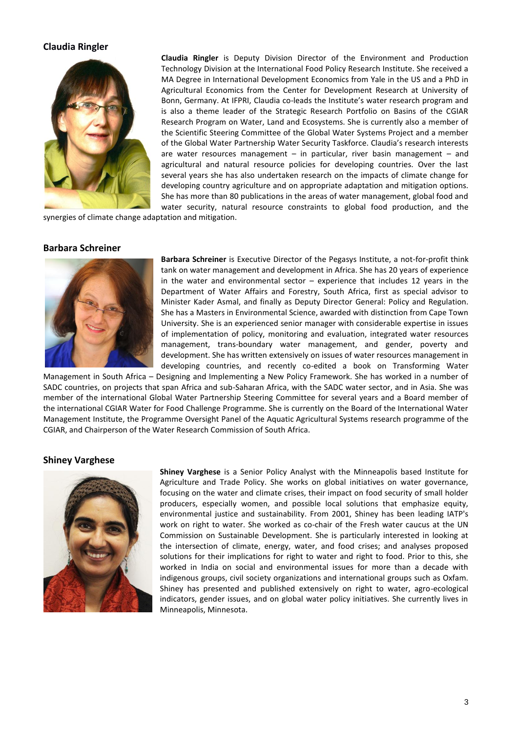# **Claudia Ringler**



**Claudia Ringler** is Deputy Division Director of the Environment and Production Technology Division at the International Food Policy Research Institute. She received a MA Degree in International Development Economics from Yale in the US and a PhD in Agricultural Economics from the Center for Development Research at University of Bonn, Germany. At IFPRI, Claudia co-leads the Institute's water research program and is also a theme leader of the Strategic Research Portfolio on Basins of the CGIAR Research Program on Water, Land and Ecosystems. She is currently also a member of the Scientific Steering Committee of the Global Water Systems Project and a member of the Global Water Partnership Water Security Taskforce. Claudia's research interests are water resources management  $-$  in particular, river basin management  $-$  and agricultural and natural resource policies for developing countries. Over the last several years she has also undertaken research on the impacts of climate change for developing country agriculture and on appropriate adaptation and mitigation options. She has more than 80 publications in the areas of water management, global food and water security, natural resource constraints to global food production, and the

synergies of climate change adaptation and mitigation.

### **Barbara Schreiner**



**Barbara Schreiner** is Executive Director of the Pegasys Institute, a not-for-profit think tank on water management and development in Africa. She has 20 years of experience in the water and environmental sector  $-$  experience that includes 12 years in the Department of Water Affairs and Forestry, South Africa, first as special advisor to Minister Kader Asmal, and finally as Deputy Director General: Policy and Regulation. She has a Masters in Environmental Science, awarded with distinction from Cape Town University. She is an experienced senior manager with considerable expertise in issues of implementation of policy, monitoring and evaluation, integrated water resources management, trans-boundary water management, and gender, poverty and development. She has written extensively on issues of water resources management in developing countries, and recently co-edited a book on Transforming Water

Management in South Africa – Designing and Implementing a New Policy Framework. She has worked in a number of SADC countries, on projects that span Africa and sub-Saharan Africa, with the SADC water sector, and in Asia. She was member of the international Global Water Partnership Steering Committee for several years and a Board member of the international CGIAR Water for Food Challenge Programme. She is currently on the Board of the International Water Management Institute, the Programme Oversight Panel of the Aquatic Agricultural Systems research programme of the CGIAR, and Chairperson of the Water Research Commission of South Africa.

#### **Shiney Varghese**



**Shiney Varghese** is a Senior Policy Analyst with the Minneapolis based Institute for Agriculture and Trade Policy. She works on global initiatives on water governance, focusing on the water and climate crises, their impact on food security of small holder producers, especially women, and possible local solutions that emphasize equity, environmental justice and sustainability. From 2001, Shiney has been leading IATP's work on right to water. She worked as co-chair of the Fresh water caucus at the UN Commission on Sustainable Development. She is particularly interested in looking at the intersection of climate, energy, water, and food crises; and analyses proposed solutions for their implications for right to water and right to food. Prior to this, she worked in India on social and environmental issues for more than a decade with indigenous groups, civil society organizations and international groups such as Oxfam. Shiney has presented and published extensively on right to water, agro-ecological indicators, gender issues, and on global water policy initiatives. She currently lives in Minneapolis, Minnesota.